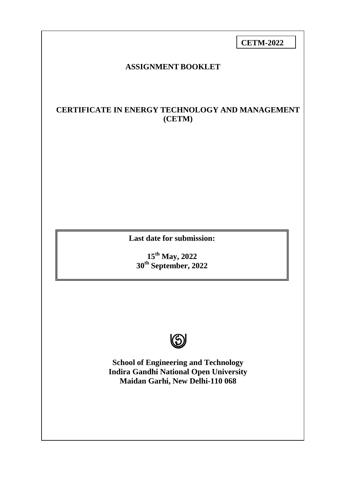**CETM-2022** 

## **ASSIGNMENT BOOKLET**

# **CERTIFICATE IN ENERGY TECHNOLOGY AND MANAGEMENT (CETM)**

**Last date for submission:** 

**15th May, 2022 30th September, 2022**



**School of Engineering and Technology Indira Gandhi National Open University Maidan Garhi, New Delhi-110 068**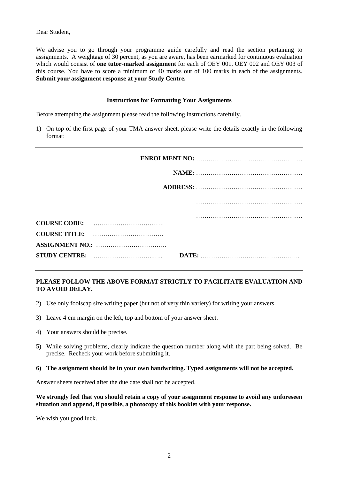Dear Student,

We advise you to go through your programme guide carefully and read the section pertaining to assignments. A weightage of 30 percent, as you are aware, has been earmarked for continuous evaluation which would consist of **one tutor-marked assignment** for each of OEY 001, OEY 002 and OEY 003 of this course. You have to score a minimum of 40 marks out of 100 marks in each of the assignments. **Submit your assignment response at your Study Centre.**

#### **Instructions for Formatting Your Assignments**

Before attempting the assignment please read the following instructions carefully.

1) On top of the first page of your TMA answer sheet, please write the details exactly in the following format:

## **PLEASE FOLLOW THE ABOVE FORMAT STRICTLY TO FACILITATE EVALUATION AND TO AVOID DELAY.**

- 2) Use only foolscap size writing paper (but not of very thin variety) for writing your answers.
- 3) Leave 4 cm margin on the left, top and bottom of your answer sheet.
- 4) Your answers should be precise.
- 5) While solving problems, clearly indicate the question number along with the part being solved. Be precise. Recheck your work before submitting it.

#### **6) The assignment should be in your own handwriting. Typed assignments will not be accepted.**

Answer sheets received after the due date shall not be accepted.

**We strongly feel that you should retain a copy of your assignment response to avoid any unforeseen situation and append, if possible, a photocopy of this booklet with your response.**

We wish you good luck.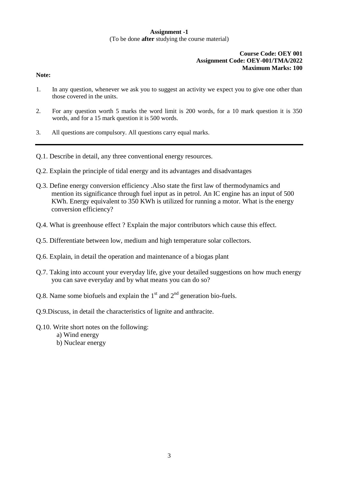## **Assignment -1** (To be done **after** studying the course material)

#### **Course Code: OEY 001 Assignment Code: OEY-001/TMA/2022 Maximum Marks: 100**

#### **Note:**

- 1. In any question, whenever we ask you to suggest an activity we expect you to give one other than those covered in the units.
- 2. For any question worth 5 marks the word limit is 200 words, for a 10 mark question it is 350 words, and for a 15 mark question it is 500 words.
- 3. All questions are compulsory. All questions carry equal marks.
- Q.1. Describe in detail, any three conventional energy resources.
- Q.2. Explain the principle of tidal energy and its advantages and disadvantages
- Q.3. Define energy conversion efficiency .Also state the first law of thermodynamics and mention its significance through fuel input as in petrol. An IC engine has an input of 500 KWh. Energy equivalent to 350 KWh is utilized for running a motor. What is the energy conversion efficiency?
- Q.4. What is greenhouse effect ? Explain the major contributors which cause this effect.
- Q.5. Differentiate between low, medium and high temperature solar collectors.
- Q.6. Explain, in detail the operation and maintenance of a biogas plant
- Q.7. Taking into account your everyday life, give your detailed suggestions on how much energy you can save everyday and by what means you can do so?
- Q.8. Name some biofuels and explain the  $1<sup>st</sup>$  and  $2<sup>nd</sup>$  generation bio-fuels.
- Q.9.Discuss, in detail the characteristics of lignite and anthracite.
- Q.10. Write short notes on the following: a) Wind energy b) Nuclear energy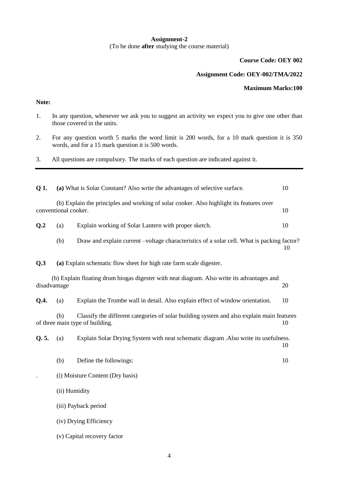## **Assignment-2** (To be done **after** studying the course material)

**Course Code: OEY 002**

### **Assignment Code: OEY-002/TMA/2022**

#### **Maximum Marks:100**

## **Note:**

- 1. In any question, whenever we ask you to suggest an activity we expect you to give one other than those covered in the units.
- 2. For any question worth 5 marks the word limit is 200 words, for a 10 mark question it is 350 words, and for a 15 mark question it is 500 words.
- 3. All questions are compulsory. The marks of each question are indicated against it.

| Q 1.                             |                        | (a) What is Solar Constant? Also write the advantages of selective surface.                                                  | 10 |  |  |
|----------------------------------|------------------------|------------------------------------------------------------------------------------------------------------------------------|----|--|--|
|                                  | conventional cooker.   | (b) Explain the principles and working of solar cooker. Also highlight its features over                                     | 10 |  |  |
| Q.2                              | (a)                    | Explain working of Solar Lantern with proper sketch.                                                                         | 10 |  |  |
|                                  | (b)                    | Draw and explain current –voltage characteristics of a solar cell. What is packing factor?                                   | 10 |  |  |
| Q.3                              |                        | (a) Explain schematic flow sheet for high rate farm scale digester.                                                          |    |  |  |
|                                  | disadvantage           | (b) Explain floating drum biogas digester with neat diagram. Also write its advantages and                                   | 20 |  |  |
| Q.A.                             | (a)                    | Explain the Trombe wall in detail. Also explain effect of window orientation.                                                | 10 |  |  |
|                                  | (b)                    | Classify the different categories of solar building system and also explain main features<br>of three main type of building. | 10 |  |  |
| Q. 5.                            | (a)                    | Explain Solar Drying System with neat schematic diagram .Also write its usefulness.                                          | 10 |  |  |
|                                  | (b)                    | Define the followings:                                                                                                       | 10 |  |  |
| (i) Moisture Content (Dry basis) |                        |                                                                                                                              |    |  |  |
|                                  |                        | (ii) Humidity                                                                                                                |    |  |  |
|                                  |                        | (iii) Payback period                                                                                                         |    |  |  |
|                                  | (iv) Drying Efficiency |                                                                                                                              |    |  |  |
|                                  |                        | (v) Capital recovery factor                                                                                                  |    |  |  |